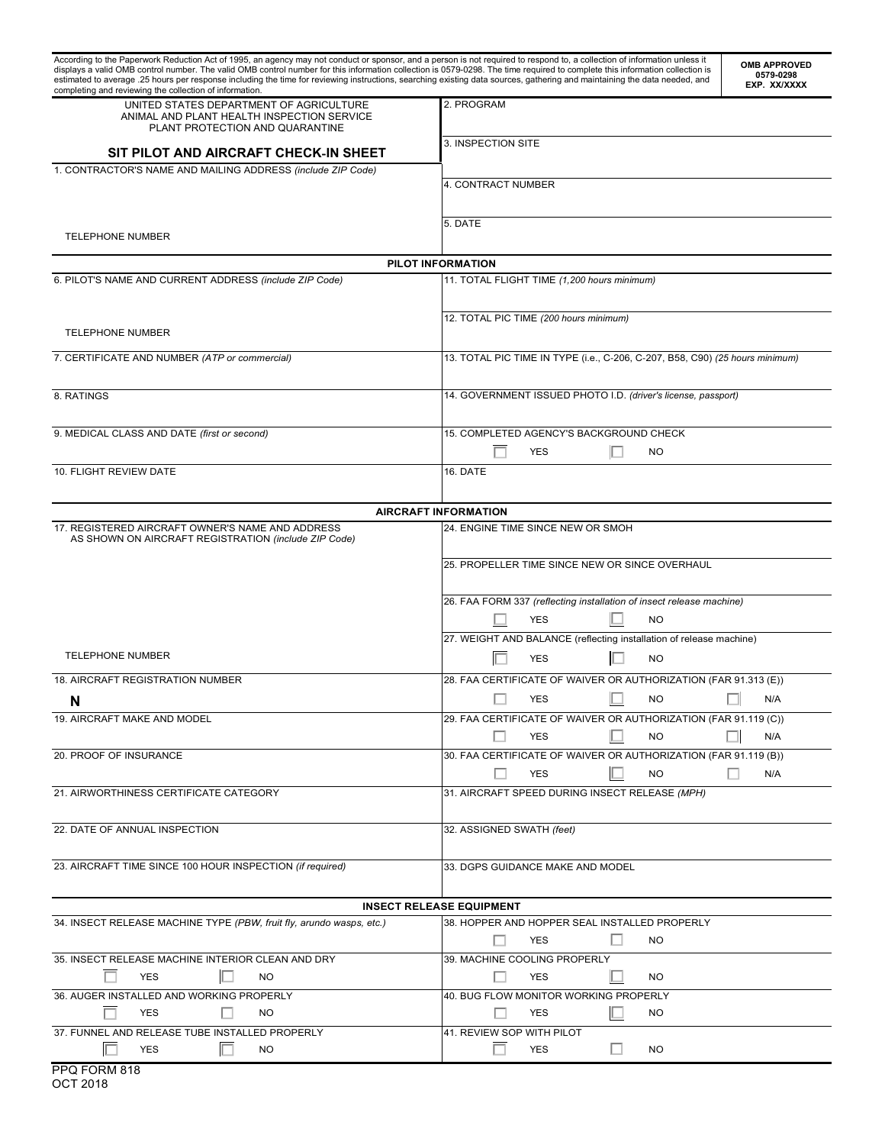| According to the Paperwork Reduction Act of 1995, an agency may not conduct or sponsor, and a person is not required to respond to, a collection of information unless it<br>displays a valid OMB control number. The valid OMB control number for this information collection is 0579-0298. The time required to complete this information collection is<br>estimated to average .25 hours per response including the time for reviewing instructions, searching existing data sources, gathering and maintaining the data needed, and<br>completing and reviewing the collection of information. | <b>OMB APPROVED</b><br>0579-0298<br>EXP. XX/XXXX                                 |  |  |  |
|----------------------------------------------------------------------------------------------------------------------------------------------------------------------------------------------------------------------------------------------------------------------------------------------------------------------------------------------------------------------------------------------------------------------------------------------------------------------------------------------------------------------------------------------------------------------------------------------------|----------------------------------------------------------------------------------|--|--|--|
| UNITED STATES DEPARTMENT OF AGRICULTURE<br>ANIMAL AND PLANT HEALTH INSPECTION SERVICE<br>PLANT PROTECTION AND QUARANTINE                                                                                                                                                                                                                                                                                                                                                                                                                                                                           | 2. PROGRAM                                                                       |  |  |  |
| SIT PILOT AND AIRCRAFT CHECK-IN SHEET                                                                                                                                                                                                                                                                                                                                                                                                                                                                                                                                                              | 3. INSPECTION SITE                                                               |  |  |  |
| 1. CONTRACTOR'S NAME AND MAILING ADDRESS (include ZIP Code)                                                                                                                                                                                                                                                                                                                                                                                                                                                                                                                                        |                                                                                  |  |  |  |
|                                                                                                                                                                                                                                                                                                                                                                                                                                                                                                                                                                                                    | 4. CONTRACT NUMBER                                                               |  |  |  |
| TELEPHONE NUMBER                                                                                                                                                                                                                                                                                                                                                                                                                                                                                                                                                                                   | 5. DATE                                                                          |  |  |  |
|                                                                                                                                                                                                                                                                                                                                                                                                                                                                                                                                                                                                    | PILOT INFORMATION                                                                |  |  |  |
| 6. PILOT'S NAME AND CURRENT ADDRESS (include ZIP Code)                                                                                                                                                                                                                                                                                                                                                                                                                                                                                                                                             | 11. TOTAL FLIGHT TIME (1,200 hours minimum)                                      |  |  |  |
|                                                                                                                                                                                                                                                                                                                                                                                                                                                                                                                                                                                                    |                                                                                  |  |  |  |
|                                                                                                                                                                                                                                                                                                                                                                                                                                                                                                                                                                                                    | 12. TOTAL PIC TIME (200 hours minimum)                                           |  |  |  |
| <b>TELEPHONE NUMBER</b>                                                                                                                                                                                                                                                                                                                                                                                                                                                                                                                                                                            |                                                                                  |  |  |  |
|                                                                                                                                                                                                                                                                                                                                                                                                                                                                                                                                                                                                    |                                                                                  |  |  |  |
| 7. CERTIFICATE AND NUMBER (ATP or commercial)                                                                                                                                                                                                                                                                                                                                                                                                                                                                                                                                                      | 13. TOTAL PIC TIME IN TYPE (i.e., C-206, C-207, B58, C90) (25 hours minimum)     |  |  |  |
| 8. RATINGS                                                                                                                                                                                                                                                                                                                                                                                                                                                                                                                                                                                         | 14. GOVERNMENT ISSUED PHOTO I.D. (driver's license, passport)                    |  |  |  |
| 9. MEDICAL CLASS AND DATE (first or second)                                                                                                                                                                                                                                                                                                                                                                                                                                                                                                                                                        | 15. COMPLETED AGENCY'S BACKGROUND CHECK                                          |  |  |  |
|                                                                                                                                                                                                                                                                                                                                                                                                                                                                                                                                                                                                    | <b>YES</b><br><b>NO</b>                                                          |  |  |  |
| 10. FLIGHT REVIEW DATE                                                                                                                                                                                                                                                                                                                                                                                                                                                                                                                                                                             | 16. DATE                                                                         |  |  |  |
|                                                                                                                                                                                                                                                                                                                                                                                                                                                                                                                                                                                                    |                                                                                  |  |  |  |
|                                                                                                                                                                                                                                                                                                                                                                                                                                                                                                                                                                                                    | <b>AIRCRAFT INFORMATION</b>                                                      |  |  |  |
| 17. REGISTERED AIRCRAFT OWNER'S NAME AND ADDRESS                                                                                                                                                                                                                                                                                                                                                                                                                                                                                                                                                   | 24. ENGINE TIME SINCE NEW OR SMOH                                                |  |  |  |
| AS SHOWN ON AIRCRAFT REGISTRATION (include ZIP Code)                                                                                                                                                                                                                                                                                                                                                                                                                                                                                                                                               |                                                                                  |  |  |  |
|                                                                                                                                                                                                                                                                                                                                                                                                                                                                                                                                                                                                    | 25. PROPELLER TIME SINCE NEW OR SINCE OVERHAUL                                   |  |  |  |
|                                                                                                                                                                                                                                                                                                                                                                                                                                                                                                                                                                                                    | 26. FAA FORM 337 (reflecting installation of insect release machine)             |  |  |  |
|                                                                                                                                                                                                                                                                                                                                                                                                                                                                                                                                                                                                    | <b>NO</b><br><b>YES</b>                                                          |  |  |  |
|                                                                                                                                                                                                                                                                                                                                                                                                                                                                                                                                                                                                    |                                                                                  |  |  |  |
|                                                                                                                                                                                                                                                                                                                                                                                                                                                                                                                                                                                                    | 27. WEIGHT AND BALANCE (reflecting installation of release machine)              |  |  |  |
| <b>TELEPHONE NUMBER</b>                                                                                                                                                                                                                                                                                                                                                                                                                                                                                                                                                                            | <b>YES</b><br><b>NO</b>                                                          |  |  |  |
| 18. AIRCRAFT REGISTRATION NUMBER                                                                                                                                                                                                                                                                                                                                                                                                                                                                                                                                                                   | 28. FAA CERTIFICATE OF WAIVER OR AUTHORIZATION (FAR 91.313 (E))                  |  |  |  |
| N                                                                                                                                                                                                                                                                                                                                                                                                                                                                                                                                                                                                  | $\Box$ YES $\Box$ NO $\Box$ N/A                                                  |  |  |  |
| 19. AIRCRAFT MAKE AND MODEL                                                                                                                                                                                                                                                                                                                                                                                                                                                                                                                                                                        | 29. FAA CERTIFICATE OF WAIVER OR AUTHORIZATION (FAR 91.119 (C))                  |  |  |  |
|                                                                                                                                                                                                                                                                                                                                                                                                                                                                                                                                                                                                    | <b>YES</b><br><b>NO</b><br>N/A                                                   |  |  |  |
| 20. PROOF OF INSURANCE                                                                                                                                                                                                                                                                                                                                                                                                                                                                                                                                                                             | 30. FAA CERTIFICATE OF WAIVER OR AUTHORIZATION (FAR 91.119 (B))                  |  |  |  |
|                                                                                                                                                                                                                                                                                                                                                                                                                                                                                                                                                                                                    | ш<br><b>YES</b><br><b>NO</b><br>N/A                                              |  |  |  |
| 21. AIRWORTHINESS CERTIFICATE CATEGORY                                                                                                                                                                                                                                                                                                                                                                                                                                                                                                                                                             | 31. AIRCRAFT SPEED DURING INSECT RELEASE (MPH)                                   |  |  |  |
|                                                                                                                                                                                                                                                                                                                                                                                                                                                                                                                                                                                                    |                                                                                  |  |  |  |
| 22. DATE OF ANNUAL INSPECTION                                                                                                                                                                                                                                                                                                                                                                                                                                                                                                                                                                      | 32. ASSIGNED SWATH (feet)                                                        |  |  |  |
|                                                                                                                                                                                                                                                                                                                                                                                                                                                                                                                                                                                                    |                                                                                  |  |  |  |
| 23. AIRCRAFT TIME SINCE 100 HOUR INSPECTION (if required)                                                                                                                                                                                                                                                                                                                                                                                                                                                                                                                                          | 33. DGPS GUIDANCE MAKE AND MODEL                                                 |  |  |  |
|                                                                                                                                                                                                                                                                                                                                                                                                                                                                                                                                                                                                    |                                                                                  |  |  |  |
|                                                                                                                                                                                                                                                                                                                                                                                                                                                                                                                                                                                                    |                                                                                  |  |  |  |
| 34. INSECT RELEASE MACHINE TYPE (PBW, fruit fly, arundo wasps, etc.)                                                                                                                                                                                                                                                                                                                                                                                                                                                                                                                               | <b>INSECT RELEASE EQUIPMENT</b><br>38. HOPPER AND HOPPER SEAL INSTALLED PROPERLY |  |  |  |
|                                                                                                                                                                                                                                                                                                                                                                                                                                                                                                                                                                                                    | <b>NO</b><br>$\mathbf{L}$<br>YES                                                 |  |  |  |
| 35. INSECT RELEASE MACHINE INTERIOR CLEAN AND DRY                                                                                                                                                                                                                                                                                                                                                                                                                                                                                                                                                  | 39. MACHINE COOLING PROPERLY                                                     |  |  |  |
| <b>YES</b><br>$\mathbf{L}$<br><b>NO</b>                                                                                                                                                                                                                                                                                                                                                                                                                                                                                                                                                            | H<br>YES<br>NO.                                                                  |  |  |  |
| 36. AUGER INSTALLED AND WORKING PROPERLY                                                                                                                                                                                                                                                                                                                                                                                                                                                                                                                                                           | 40. BUG FLOW MONITOR WORKING PROPERLY                                            |  |  |  |
| YES<br>NO.                                                                                                                                                                                                                                                                                                                                                                                                                                                                                                                                                                                         | YES<br>NO.                                                                       |  |  |  |
| 37. FUNNEL AND RELEASE TUBE INSTALLED PROPERLY                                                                                                                                                                                                                                                                                                                                                                                                                                                                                                                                                     | 41. REVIEW SOP WITH PILOT                                                        |  |  |  |
| П<br>YES<br>NO.                                                                                                                                                                                                                                                                                                                                                                                                                                                                                                                                                                                    | $\mathbf{L}$<br>YES<br>NO.                                                       |  |  |  |